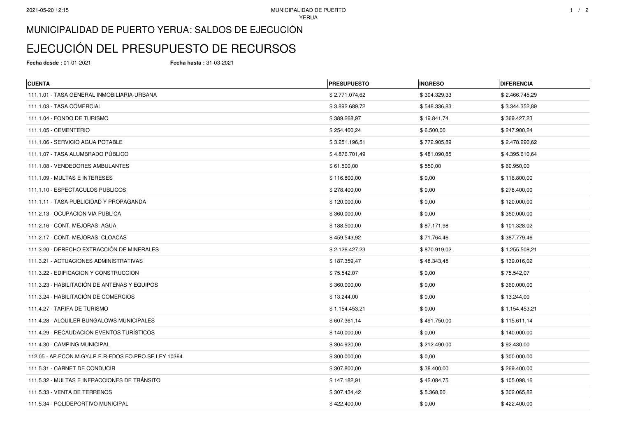## MUNICIPALIDAD DE PUERTO YERUA: SALDOS DE EJECUCIÓN

## EJECUCIÓN DEL PRESUPUESTO DE RECURSOS

**Fecha desde :** 01-01-2021 **Fecha hasta :** 31-03-2021

| <b>CUENTA</b>                                         | <b>PRESUPUESTO</b> | <b>INGRESO</b> | <b>DIFERENCIA</b> |
|-------------------------------------------------------|--------------------|----------------|-------------------|
| 111.1.01 - TASA GENERAL INMOBILIARIA-URBANA           | \$2.771.074,62     | \$304.329,33   | \$2.466.745,29    |
| 111.1.03 - TASA COMERCIAL                             | \$3.892.689,72     | \$548.336,83   | \$3.344.352,89    |
| 111.1.04 - FONDO DE TURISMO                           | \$389.268,97       | \$19.841,74    | \$369.427,23      |
| 111.1.05 - CEMENTERIO                                 | \$254.400,24       | \$6.500,00     | \$247.900,24      |
| 111.1.06 - SERVICIO AGUA POTABLE                      | \$3.251.196,51     | \$772.905,89   | \$2.478.290,62    |
| 111.1.07 - TASA ALUMBRADO PÚBLICO                     | \$4.876.701,49     | \$481.090,85   | \$4.395.610,64    |
| 111.1.08 - VENDEDORES AMBULANTES                      | \$61.500,00        | \$550,00       | \$60.950,00       |
| 111.1.09 - MULTAS E INTERESES                         | \$116.800,00       | \$0,00         | \$116.800,00      |
| 111.1.10 - ESPECTACULOS PUBLICOS                      | \$278.400,00       | \$0,00         | \$278.400,00      |
| 111.1.11 - TASA PUBLICIDAD Y PROPAGANDA               | \$120.000,00       | \$0,00         | \$120.000,00      |
| 111.2.13 - OCUPACION VIA PUBLICA                      | \$360.000,00       | \$0,00         | \$360.000,00      |
| 111.2.16 - CONT. MEJORAS: AGUA                        | \$188.500,00       | \$87.171,98    | \$101.328,02      |
| 111.2.17 - CONT. MEJORAS: CLOACAS                     | \$459.543,92       | \$71.764,46    | \$387.779,46      |
| 111.3.20 - DERECHO EXTRACCIÓN DE MINERALES            | \$2.126.427,23     | \$870.919,02   | \$1.255.508,21    |
| 111.3.21 - ACTUACIONES ADMINISTRATIVAS                | \$187.359,47       | \$48.343,45    | \$139.016,02      |
| 111.3.22 - EDIFICACION Y CONSTRUCCION                 | \$75.542,07        | \$0,00         | \$75.542,07       |
| 111.3.23 - HABILITACIÓN DE ANTENAS Y EQUIPOS          | \$360.000,00       | \$0,00         | \$360.000,00      |
| 111.3.24 - HABILITACIÓN DE COMERCIOS                  | \$13.244,00        | \$0,00         | \$13.244,00       |
| 111.4.27 - TARIFA DE TURISMO                          | \$1.154.453,21     | \$0,00         | \$1.154.453,21    |
| 111.4.28 - ALQUILER BUNGALOWS MUNICIPALES             | \$607.361,14       | \$491.750,00   | \$115.611,14      |
| 111.4.29 - RECAUDACION EVENTOS TURÍSTICOS             | \$140.000,00       | \$0,00         | \$140.000,00      |
| 111.4.30 - CAMPING MUNICIPAL                          | \$304.920,00       | \$212.490,00   | \$92.430,00       |
| 112.05 - AP.ECON.M.GYJ.P.E.R-FDOS FO.PRO.SE LEY 10364 | \$300.000,00       | \$0,00         | \$300.000,00      |
| 111.5.31 - CARNET DE CONDUCIR                         | \$307.800,00       | \$38.400,00    | \$269.400,00      |
| 111.5.32 - MULTAS E INFRACCIONES DE TRÁNSITO          | \$147.182,91       | \$42.084,75    | \$105.098,16      |
| 111.5.33 - VENTA DE TERRENOS                          | \$307.434,42       | \$5.368,60     | \$302.065,82      |
| 111.5.34 - POLIDEPORTIVO MUNICIPAL                    | \$422.400,00       | \$0,00         | \$422.400,00      |